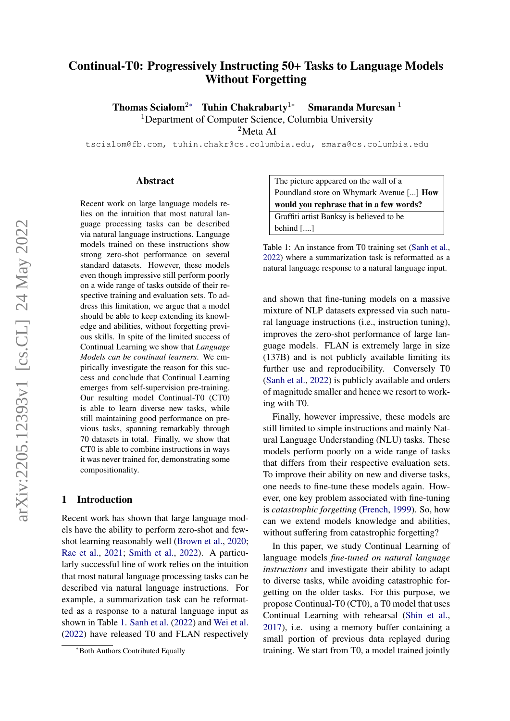# <span id="page-0-1"></span>Continual-T0: Progressively Instructing 50+ Tasks to Language Models Without Forgetting

Thomas Scialom<sup>2∗</sup> Tuhin Chakrabarty<sup>1</sup>\* Smaranda Muresan<sup>1</sup> <sup>1</sup>Department of Computer Science, Columbia University

<sup>2</sup>Meta AI

tscialom@fb.com, tuhin.chakr@cs.columbia.edu, smara@cs.columbia.edu

#### Abstract

Recent work on large language models relies on the intuition that most natural language processing tasks can be described via natural language instructions. Language models trained on these instructions show strong zero-shot performance on several standard datasets. However, these models even though impressive still perform poorly on a wide range of tasks outside of their respective training and evaluation sets. To address this limitation, we argue that a model should be able to keep extending its knowledge and abilities, without forgetting previous skills. In spite of the limited success of Continual Learning we show that *Language Models can be continual learners*. We empirically investigate the reason for this success and conclude that Continual Learning emerges from self-supervision pre-training. Our resulting model Continual-T0 (CT0) is able to learn diverse new tasks, while still maintaining good performance on previous tasks, spanning remarkably through 70 datasets in total. Finally, we show that CT0 is able to combine instructions in ways it was never trained for, demonstrating some compositionality.

#### 1 Introduction

Recent work has shown that large language models have the ability to perform zero-shot and fewshot learning reasonably well [\(Brown et al.,](#page-10-0) [2020;](#page-10-0) [Rae et al.,](#page-12-0) [2021;](#page-12-0) [Smith et al.,](#page-13-0) [2022\)](#page-13-0). A particularly successful line of work relies on the intuition that most natural language processing tasks can be described via natural language instructions. For example, a summarization task can be reformatted as a response to a natural language input as shown in Table [1.](#page-0-0) [Sanh et al.](#page-12-1) [\(2022\)](#page-12-1) and [Wei et al.](#page-13-1) [\(2022\)](#page-13-1) have released T0 and FLAN respectively

The picture appeared on the wall of a Poundland store on Whymark Avenue [...] How would you rephrase that in a few words? Graffiti artist Banksy is believed to be behind [....]

<span id="page-0-0"></span>Table 1: An instance from T0 training set [\(Sanh et al.,](#page-12-1) [2022\)](#page-12-1) where a summarization task is reformatted as a natural language response to a natural language input.

and shown that fine-tuning models on a massive mixture of NLP datasets expressed via such natural language instructions (i.e., instruction tuning), improves the zero-shot performance of large language models. FLAN is extremely large in size (137B) and is not publicly available limiting its further use and reproducibility. Conversely T0 [\(Sanh et al.,](#page-12-1) [2022\)](#page-12-1) is publicly available and orders of magnitude smaller and hence we resort to working with T0.

Finally, however impressive, these models are still limited to simple instructions and mainly Natural Language Understanding (NLU) tasks. These models perform poorly on a wide range of tasks that differs from their respective evaluation sets. To improve their ability on new and diverse tasks, one needs to fine-tune these models again. However, one key problem associated with fine-tuning is *catastrophic forgetting* [\(French,](#page-10-1) [1999\)](#page-10-1). So, how can we extend models knowledge and abilities, without suffering from catastrophic forgetting?

In this paper, we study Continual Learning of language models *fine-tuned on natural language instructions* and investigate their ability to adapt to diverse tasks, while avoiding catastrophic forgetting on the older tasks. For this purpose, we propose Continual-T0 (CT0), a T0 model that uses Continual Learning with rehearsal [\(Shin et al.,](#page-13-2) [2017\)](#page-13-2), i.e. using a memory buffer containing a small portion of previous data replayed during training. We start from T0, a model trained jointly

<sup>∗</sup>Both Authors Contributed Equally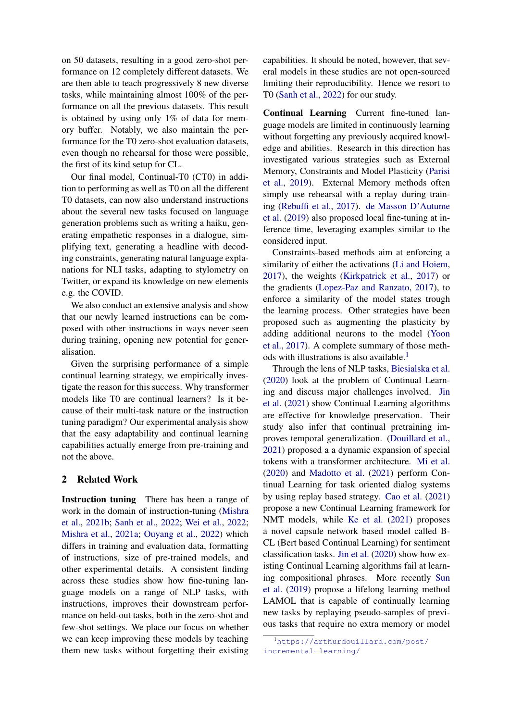on 50 datasets, resulting in a good zero-shot performance on 12 completely different datasets. We are then able to teach progressively 8 new diverse tasks, while maintaining almost 100% of the performance on all the previous datasets. This result is obtained by using only 1% of data for memory buffer. Notably, we also maintain the performance for the T0 zero-shot evaluation datasets, even though no rehearsal for those were possible, the first of its kind setup for CL.

Our final model, Continual-T0 (CT0) in addition to performing as well as T0 on all the different T0 datasets, can now also understand instructions about the several new tasks focused on language generation problems such as writing a haiku, generating empathetic responses in a dialogue, simplifying text, generating a headline with decoding constraints, generating natural language explanations for NLI tasks, adapting to stylometry on Twitter, or expand its knowledge on new elements e.g. the COVID.

We also conduct an extensive analysis and show that our newly learned instructions can be composed with other instructions in ways never seen during training, opening new potential for generalisation.

Given the surprising performance of a simple continual learning strategy, we empirically investigate the reason for this success. Why transformer models like T0 are continual learners? Is it because of their multi-task nature or the instruction tuning paradigm? Our experimental analysis show that the easy adaptability and continual learning capabilities actually emerge from pre-training and not the above.

### <span id="page-1-1"></span>2 Related Work

Instruction tuning There has been a range of work in the domain of instruction-tuning [\(Mishra](#page-11-0) [et al.,](#page-11-0) [2021b;](#page-11-0) [Sanh et al.,](#page-12-1) [2022;](#page-12-1) [Wei et al.,](#page-13-1) [2022;](#page-13-1) [Mishra et al.,](#page-11-1) [2021a;](#page-11-1) [Ouyang et al.,](#page-12-2) [2022\)](#page-12-2) which differs in training and evaluation data, formatting of instructions, size of pre-trained models, and other experimental details. A consistent finding across these studies show how fine-tuning language models on a range of NLP tasks, with instructions, improves their downstream performance on held-out tasks, both in the zero-shot and few-shot settings. We place our focus on whether we can keep improving these models by teaching them new tasks without forgetting their existing

capabilities. It should be noted, however, that several models in these studies are not open-sourced limiting their reproducibility. Hence we resort to T0 [\(Sanh et al.,](#page-12-1) [2022\)](#page-12-1) for our study.

Continual Learning Current fine-tuned language models are limited in continuously learning without forgetting any previously acquired knowledge and abilities. Research in this direction has investigated various strategies such as External Memory, Constraints and Model Plasticity [\(Parisi](#page-12-3) [et al.,](#page-12-3) [2019\)](#page-12-3). External Memory methods often simply use rehearsal with a replay during training [\(Rebuffi et al.,](#page-12-4) [2017\)](#page-12-4). [de Masson D'Autume](#page-11-2) [et al.](#page-11-2) [\(2019\)](#page-11-2) also proposed local fine-tuning at inference time, leveraging examples similar to the considered input.

Constraints-based methods aim at enforcing a similarity of either the activations [\(Li and Hoiem,](#page-11-3) [2017\)](#page-11-3), the weights [\(Kirkpatrick et al.,](#page-11-4) [2017\)](#page-11-4) or the gradients [\(Lopez-Paz and Ranzato,](#page-11-5) [2017\)](#page-11-5), to enforce a similarity of the model states trough the learning process. Other strategies have been proposed such as augmenting the plasticity by adding additional neurons to the model [\(Yoon](#page-13-3) [et al.,](#page-13-3) [2017\)](#page-13-3). A complete summary of those meth-ods with illustrations is also available.<sup>[1](#page-1-0)</sup>

Through the lens of NLP tasks, [Biesialska et al.](#page-10-2) [\(2020\)](#page-10-2) look at the problem of Continual Learning and discuss major challenges involved. [Jin](#page-11-6) [et al.](#page-11-6) [\(2021\)](#page-11-6) show Continual Learning algorithms are effective for knowledge preservation. Their study also infer that continual pretraining improves temporal generalization. [\(Douillard et al.,](#page-10-3) [2021\)](#page-10-3) proposed a a dynamic expansion of special tokens with a transformer architecture. [Mi et al.](#page-11-7) [\(2020\)](#page-11-7) and [Madotto et al.](#page-11-8) [\(2021\)](#page-11-8) perform Continual Learning for task oriented dialog systems by using replay based strategy. [Cao et al.](#page-10-4) [\(2021\)](#page-10-4) propose a new Continual Learning framework for NMT models, while [Ke et al.](#page-11-9) [\(2021\)](#page-11-9) proposes a novel capsule network based model called B-CL (Bert based Continual Learning) for sentiment classification tasks. [Jin et al.](#page-10-5) [\(2020\)](#page-10-5) show how existing Continual Learning algorithms fail at learning compositional phrases. More recently [Sun](#page-13-4) [et al.](#page-13-4) [\(2019\)](#page-13-4) propose a lifelong learning method LAMOL that is capable of continually learning new tasks by replaying pseudo-samples of previous tasks that require no extra memory or model

<span id="page-1-0"></span><sup>1</sup>[https://arthurdouillard.com/post/](https://arthurdouillard.com/post/incremental-learning/) [incremental-learning/](https://arthurdouillard.com/post/incremental-learning/)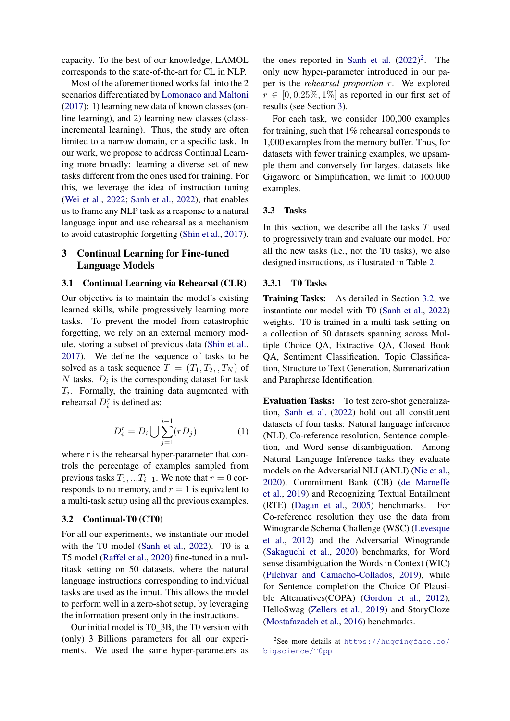capacity. To the best of our knowledge, LAMOL corresponds to the state-of-the-art for CL in NLP.

Most of the aforementioned works fall into the 2 scenarios differentiated by [Lomonaco and Maltoni](#page-11-10) [\(2017\)](#page-11-10): 1) learning new data of known classes (online learning), and 2) learning new classes (classincremental learning). Thus, the study are often limited to a narrow domain, or a specific task. In our work, we propose to address Continual Learning more broadly: learning a diverse set of new tasks different from the ones used for training. For this, we leverage the idea of instruction tuning [\(Wei et al.,](#page-13-1) [2022;](#page-13-1) [Sanh et al.,](#page-12-1) [2022\)](#page-12-1), that enables us to frame any NLP task as a response to a natural language input and use rehearsal as a mechanism to avoid catastrophic forgetting [\(Shin et al.,](#page-13-2) [2017\)](#page-13-2).

# <span id="page-2-1"></span>3 Continual Learning for Fine-tuned Language Models

#### 3.1 Continual Learning via Rehearsal (CLR)

Our objective is to maintain the model's existing learned skills, while progressively learning more tasks. To prevent the model from catastrophic forgetting, we rely on an external memory module, storing a subset of previous data [\(Shin et al.,](#page-13-2) [2017\)](#page-13-2). We define the sequence of tasks to be solved as a task sequence  $T = (T_1, T_2, T_N)$  of  $N$  tasks.  $D_i$  is the corresponding dataset for task  $T_i$ . Formally, the training data augmented with rehearsal  $D_i^r$  is defined as:

$$
D_i^r = D_i \bigcup \sum_{j=1}^{i-1} (rD_j) \tag{1}
$$

where r is the rehearsal hyper-parameter that controls the percentage of examples sampled from previous tasks  $T_1, ... T_{i-1}$ . We note that  $r = 0$  corresponds to no memory, and  $r = 1$  is equivalent to a multi-task setup using all the previous examples.

### <span id="page-2-2"></span>3.2 Continual-T0 (CT0)

For all our experiments, we instantiate our model with the T0 model [\(Sanh et al.,](#page-12-1) [2022\)](#page-12-1). T0 is a T5 model [\(Raffel et al.,](#page-12-5) [2020\)](#page-12-5) fine-tuned in a multitask setting on 50 datasets, where the natural language instructions corresponding to individual tasks are used as the input. This allows the model to perform well in a zero-shot setup, by leveraging the information present only in the instructions.

Our initial model is T0\_3B, the T0 version with (only) 3 Billions parameters for all our experiments. We used the same hyper-parameters as

the ones reported in [Sanh et al.](#page-12-1)  $(2022)^2$  $(2022)^2$  $(2022)^2$ . The only new hyper-parameter introduced in our paper is the *rehearsal proportion* r. We explored  $r \in [0, 0.25\%, 1\%]$  as reported in our first set of results (see Section [3\)](#page-2-1).

For each task, we consider 100,000 examples for training, such that 1% rehearsal corresponds to 1,000 examples from the memory buffer. Thus, for datasets with fewer training examples, we upsample them and conversely for largest datasets like Gigaword or Simplification, we limit to 100,000 examples.

#### <span id="page-2-3"></span>3.3 Tasks

In this section, we describe all the tasks  $T$  used to progressively train and evaluate our model. For all the new tasks (i.e., not the T0 tasks), we also designed instructions, as illustrated in Table [2.](#page-3-0)

#### <span id="page-2-4"></span>3.3.1 T0 Tasks

Training Tasks: As detailed in Section [3.2,](#page-2-2) we instantiate our model with T0 [\(Sanh et al.,](#page-12-1) [2022\)](#page-12-1) weights. T0 is trained in a multi-task setting on a collection of 50 datasets spanning across Multiple Choice QA, Extractive QA, Closed Book QA, Sentiment Classification, Topic Classification, Structure to Text Generation, Summarization and Paraphrase Identification.

Evaluation Tasks: To test zero-shot generalization, [Sanh et al.](#page-12-1) [\(2022\)](#page-12-1) hold out all constituent datasets of four tasks: Natural language inference (NLI), Co-reference resolution, Sentence completion, and Word sense disambiguation. Among Natural Language Inference tasks they evaluate models on the Adversarial NLI (ANLI) [\(Nie et al.,](#page-12-6) [2020\)](#page-12-6), Commitment Bank (CB) [\(de Marneffe](#page-11-11) [et al.,](#page-11-11) [2019\)](#page-11-11) and Recognizing Textual Entailment (RTE) [\(Dagan et al.,](#page-10-6) [2005\)](#page-10-6) benchmarks. For Co-reference resolution they use the data from Winogrande Schema Challenge (WSC) [\(Levesque](#page-11-12) [et al.,](#page-11-12) [2012\)](#page-11-12) and the Adversarial Winogrande [\(Sakaguchi et al.,](#page-12-7) [2020\)](#page-12-7) benchmarks, for Word sense disambiguation the Words in Context (WIC) [\(Pilehvar and Camacho-Collados,](#page-12-8) [2019\)](#page-12-8), while for Sentence completion the Choice Of Plausible Alternatives(COPA) [\(Gordon et al.,](#page-10-7) [2012\)](#page-10-7), HelloSwag [\(Zellers et al.,](#page-13-5) [2019\)](#page-13-5) and StoryCloze [\(Mostafazadeh et al.,](#page-11-13) [2016\)](#page-11-13) benchmarks.

<span id="page-2-0"></span><sup>2</sup> See more details at [https://huggingface.co/](https://huggingface.co/bigscience/T0pp) [bigscience/T0pp](https://huggingface.co/bigscience/T0pp)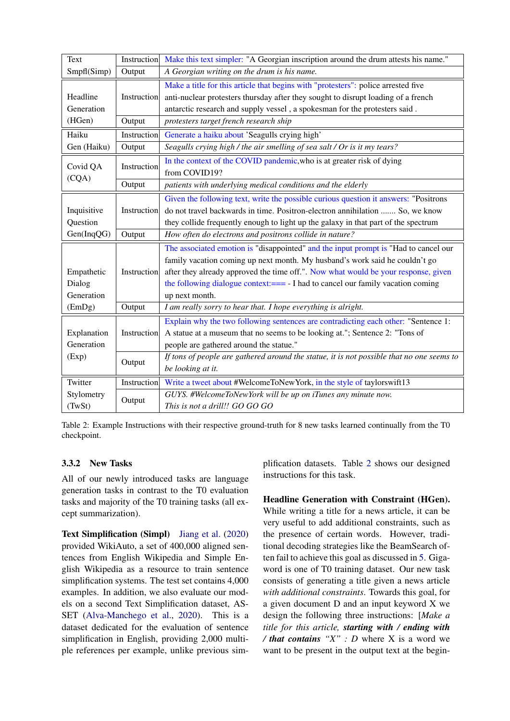| <b>Text</b>       | Instruction | Make this text simpler: "A Georgian inscription around the drum attests his name."        |  |  |  |  |  |  |
|-------------------|-------------|-------------------------------------------------------------------------------------------|--|--|--|--|--|--|
| Smpfl(Simp)       | Output      | A Georgian writing on the drum is his name.                                               |  |  |  |  |  |  |
|                   |             | Make a title for this article that begins with "protesters": police arrested five         |  |  |  |  |  |  |
| Headline          | Instruction | anti-nuclear protesters thursday after they sought to disrupt loading of a french         |  |  |  |  |  |  |
| Generation        |             | antarctic research and supply vessel, a spokesman for the protesters said.                |  |  |  |  |  |  |
| (HGen)            | Output      | protesters target french research ship                                                    |  |  |  |  |  |  |
| Haiku             | Instruction | Generate a haiku about 'Seagulls crying high'                                             |  |  |  |  |  |  |
| Gen (Haiku)       | Output      | Seagulls crying high / the air smelling of sea salt / Or is it my tears?                  |  |  |  |  |  |  |
|                   |             | In the context of the COVID pandemic, who is at greater risk of dying                     |  |  |  |  |  |  |
| Covid QA<br>(CQA) | Instruction | from COVID19?                                                                             |  |  |  |  |  |  |
|                   | Output      | patients with underlying medical conditions and the elderly                               |  |  |  |  |  |  |
|                   |             | Given the following text, write the possible curious question it answers: "Positrons      |  |  |  |  |  |  |
| Inquisitive       | Instruction | do not travel backwards in time. Positron-electron annihilation  So, we know              |  |  |  |  |  |  |
| Question          |             | they collide frequently enough to light up the galaxy in that part of the spectrum        |  |  |  |  |  |  |
| Gen(InqQG)        | Output      | How often do electrons and positrons collide in nature?                                   |  |  |  |  |  |  |
|                   |             | The associated emotion is "disappointed" and the input prompt is "Had to cancel our       |  |  |  |  |  |  |
|                   | Instruction | family vacation coming up next month. My husband's work said he couldn't go               |  |  |  |  |  |  |
| Empathetic        |             | after they already approved the time off.". Now what would be your response, given        |  |  |  |  |  |  |
| Dialog            |             | the following dialogue context:=== - I had to cancel our family vacation coming           |  |  |  |  |  |  |
| Generation        |             | up next month.                                                                            |  |  |  |  |  |  |
| (EmDg)            | Output      | I am really sorry to hear that. I hope everything is alright.                             |  |  |  |  |  |  |
|                   |             | Explain why the two following sentences are contradicting each other: "Sentence 1:        |  |  |  |  |  |  |
| Explanation       | Instruction | A statue at a museum that no seems to be looking at."; Sentence 2: "Tons of               |  |  |  |  |  |  |
| Generation        |             | people are gathered around the statue."                                                   |  |  |  |  |  |  |
| (Exp)             | Output      | If tons of people are gathered around the statue, it is not possible that no one seems to |  |  |  |  |  |  |
|                   |             | be looking at it.                                                                         |  |  |  |  |  |  |
| Twitter           | Instruction | Write a tweet about #WelcomeToNewYork, in the style of taylorswift13                      |  |  |  |  |  |  |
| Stylometry        |             | GUYS. #WelcomeToNewYork will be up on iTunes any minute now.                              |  |  |  |  |  |  |
| (TwSt)            | Output      | This is not a drill!! GO GO GO                                                            |  |  |  |  |  |  |

<span id="page-3-0"></span>Table 2: Example Instructions with their respective ground-truth for 8 new tasks learned continually from the T0 checkpoint.

# <span id="page-3-1"></span>3.3.2 New Tasks

All of our newly introduced tasks are language generation tasks in contrast to the T0 evaluation tasks and majority of the T0 training tasks (all except summarization).

Text Simplification (Simpl) [Jiang et al.](#page-10-8) [\(2020\)](#page-10-8) provided WikiAuto, a set of 400,000 aligned sentences from English Wikipedia and Simple English Wikipedia as a resource to train sentence simplification systems. The test set contains 4,000 examples. In addition, we also evaluate our models on a second Text Simplification dataset, AS-SET [\(Alva-Manchego et al.,](#page-10-9) [2020\)](#page-10-9). This is a dataset dedicated for the evaluation of sentence simplification in English, providing 2,000 multiple references per example, unlike previous simplification datasets. Table [2](#page-3-0) shows our designed instructions for this task.

Headline Generation with Constraint (HGen). While writing a title for a news article, it can be very useful to add additional constraints, such as the presence of certain words. However, traditional decoding strategies like the BeamSearch often fail to achieve this goal as discussed in [5.](#page-9-0) Gigaword is one of T0 training dataset. Our new task consists of generating a title given a news article *with additional constraints*. Towards this goal, for a given document D and an input keyword X we design the following three instructions: [*Make a title for this article, starting with / ending with / that contains "X" : D* where X is a word we want to be present in the output text at the begin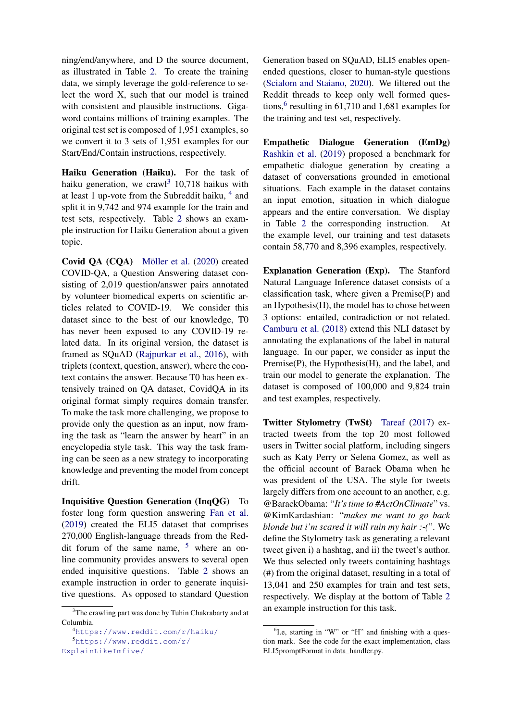ning/end/anywhere, and D the source document, as illustrated in Table [2.](#page-3-0) To create the training data, we simply leverage the gold-reference to select the word X, such that our model is trained with consistent and plausible instructions. Gigaword contains millions of training examples. The original test set is composed of 1,951 examples, so we convert it to 3 sets of 1,951 examples for our Start/End/Contain instructions, respectively.

Haiku Generation (Haiku). For the task of haiku generation, we crawl<sup>[3](#page-4-0)</sup> 10,718 haikus with at least 1 up-vote from the Subreddit haiku, <sup>[4](#page-4-1)</sup> and split it in 9,742 and 974 example for the train and test sets, respectively. Table [2](#page-3-0) shows an example instruction for Haiku Generation about a given topic.

Covid QA (CQA) [Möller et al.](#page-11-14) [\(2020\)](#page-11-14) created COVID-QA, a Question Answering dataset consisting of 2,019 question/answer pairs annotated by volunteer biomedical experts on scientific articles related to COVID-19. We consider this dataset since to the best of our knowledge, T0 has never been exposed to any COVID-19 related data. In its original version, the dataset is framed as SQuAD [\(Rajpurkar et al.,](#page-12-9) [2016\)](#page-12-9), with triplets (context, question, answer), where the context contains the answer. Because T0 has been extensively trained on QA dataset, CovidQA in its original format simply requires domain transfer. To make the task more challenging, we propose to provide only the question as an input, now framing the task as "learn the answer by heart" in an encyclopedia style task. This way the task framing can be seen as a new strategy to incorporating knowledge and preventing the model from concept drift.

Inquisitive Question Generation (InqQG) To foster long form question answering [Fan et al.](#page-10-10) [\(2019\)](#page-10-10) created the ELI5 dataset that comprises 270,000 English-language threads from the Reddit forum of the same name,  $5$  where an online community provides answers to several open ended inquisitive questions. Table [2](#page-3-0) shows an example instruction in order to generate inquisitive questions. As opposed to standard Question

Generation based on SQuAD, ELI5 enables openended questions, closer to human-style questions [\(Scialom and Staiano,](#page-13-6) [2020\)](#page-13-6). We filtered out the Reddit threads to keep only well formed ques-tions,<sup>[6](#page-4-3)</sup> resulting in 61,710 and 1,681 examples for the training and test set, respectively.

Empathetic Dialogue Generation (EmDg) [Rashkin et al.](#page-12-10) [\(2019\)](#page-12-10) proposed a benchmark for empathetic dialogue generation by creating a dataset of conversations grounded in emotional situations. Each example in the dataset contains an input emotion, situation in which dialogue appears and the entire conversation. We display in Table  $2$  the corresponding instruction. the example level, our training and test datasets contain 58,770 and 8,396 examples, respectively.

Explanation Generation (Exp). The Stanford Natural Language Inference dataset consists of a classification task, where given a Premise(P) and an Hypothesis(H), the model has to chose between 3 options: entailed, contradiction or not related. [Camburu et al.](#page-10-11) [\(2018\)](#page-10-11) extend this NLI dataset by annotating the explanations of the label in natural language. In our paper, we consider as input the Premise(P), the Hypothesis(H), and the label, and train our model to generate the explanation. The dataset is composed of 100,000 and 9,824 train and test examples, respectively.

Twitter Stylometry (TwSt) [Tareaf](#page-13-7) [\(2017\)](#page-13-7) extracted tweets from the top 20 most followed users in Twitter social platform, including singers such as Katy Perry or Selena Gomez, as well as the official account of Barack Obama when he was president of the USA. The style for tweets largely differs from one account to an another, e.g. @BarackObama: "*It's time to #ActOnClimate*" vs. @KimKardashian: "*makes me want to go back blonde but i'm scared it will ruin my hair :-(*". We define the Stylometry task as generating a relevant tweet given i) a hashtag, and ii) the tweet's author. We thus selected only tweets containing hashtags (#) from the original dataset, resulting in a total of 13,041 and 250 examples for train and test sets, respectively. We display at the bottom of Table [2](#page-3-0) an example instruction for this task.

<span id="page-4-0"></span><sup>&</sup>lt;sup>3</sup>The crawling part was done by Tuhin Chakrabarty and at Columbia.

<span id="page-4-2"></span><span id="page-4-1"></span><sup>4</sup><https://www.reddit.com/r/haiku/> <sup>5</sup>[https://www.reddit.com/r/](https://www.reddit.com/r/ExplainLikeImfive/ )

<span id="page-4-3"></span><sup>&</sup>lt;sup>6</sup>I.e, starting in "W" or "H" and finishing with a question mark. See the code for the exact implementation, class ELI5promptFormat in data\_handler.py.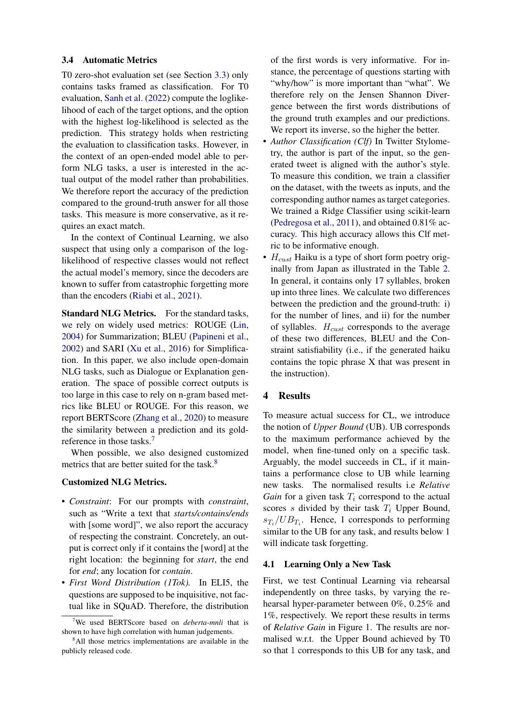#### 3.4 Automatic Metrics

T0 zero-shot evaluation set (see Section [3.3\)](#page-2-3) only contains tasks framed as classification. For T0 evaluation, [Sanh et al.](#page-12-1) [\(2022\)](#page-12-1) compute the loglikelihood of each of the target options, and the option with the highest log-likelihood is selected as the prediction. This strategy holds when restricting the evaluation to classification tasks. However, in the context of an open-ended model able to perform NLG tasks, a user is interested in the actual output of the model rather than probabilities. We therefore report the accuracy of the prediction compared to the ground-truth answer for all those tasks. This measure is more conservative, as it requires an exact match.

In the context of Continual Learning, we also suspect that using only a comparison of the loglikelihood of respective classes would not reflect the actual model's memory, since the decoders are known to suffer from catastrophic forgetting more than the encoders [\(Riabi et al.,](#page-12-11) [2021\)](#page-12-11).

Standard NLG Metrics. For the standard tasks, we rely on widely used metrics: ROUGE [\(Lin,](#page-11-15) [2004\)](#page-11-15) for Summarization; BLEU [\(Papineni et al.,](#page-12-12) [2002\)](#page-12-12) and SARI [\(Xu et al.,](#page-13-8) [2016\)](#page-13-8) for Simplification. In this paper, we also include open-domain NLG tasks, such as Dialogue or Explanation generation. The space of possible correct outputs is too large in this case to rely on n-gram based metrics like BLEU or ROUGE. For this reason, we report BERTScore [\(Zhang et al.,](#page-13-9) [2020\)](#page-13-9) to measure the similarity between a prediction and its goldreference in those tasks.[7](#page-5-0)

When possible, we also designed customized metrics that are better suited for the task.<sup>[8](#page-5-1)</sup>

### Customized NLG Metrics.

- *Constraint*: For our prompts with *constraint*, such as "Write a text that *starts/contains/ends* with [some word]", we also report the accuracy of respecting the constraint. Concretely, an output is correct only if it contains the [word] at the right location: the beginning for *start*, the end for *end*; any location for *contain*.
- *First Word Distribution (1Tok).* In ELI5, the questions are supposed to be inquisitive, not factual like in SQuAD. Therefore, the distribution

of the first words is very informative. For instance, the percentage of questions starting with "why/how" is more important than "what". We therefore rely on the Jensen Shannon Divergence between the first words distributions of the ground truth examples and our predictions. We report its inverse, so the higher the better.

- *Author Classification (Clf)* In Twitter Stylometry, the author is part of the input, so the generated tweet is aligned with the author's style. To measure this condition, we train a classifier on the dataset, with the tweets as inputs, and the corresponding author names as target categories. We trained a Ridge Classifier using scikit-learn [\(Pedregosa et al.,](#page-12-13) [2011\)](#page-12-13), and obtained  $0.81\%$  accuracy. This high accuracy allows this Clf metric to be informative enough.
- $H_{\text{cust}}$  Haiku is a type of short form poetry originally from Japan as illustrated in the Table [2.](#page-3-0) In general, it contains only 17 syllables, broken up into three lines. We calculate two differences between the prediction and the ground-truth: i) for the number of lines, and ii) for the number of syllables.  $H_{\text{cust}}$  corresponds to the average of these two differences, BLEU and the Constraint satisfiability (i.e., if the generated haiku contains the topic phrase X that was present in the instruction).

### 4 Results

To measure actual success for CL, we introduce the notion of *Upper Bound* (UB). UB corresponds to the maximum performance achieved by the model, when fine-tuned only on a specific task. Arguably, the model succeeds in CL, if it maintains a performance close to UB while learning new tasks. The normalised results i.e *Relative Gain* for a given task  $T_i$  correspond to the actual scores s divided by their task  $T_i$  Upper Bound,  $s_{T_i}/UB_{T_i}$ . Hence, 1 corresponds to performing similar to the UB for any task, and results below 1 will indicate task forgetting.

#### 4.1 Learning Only a New Task

First, we test Continual Learning via rehearsal independently on three tasks, by varying the rehearsal hyper-parameter between 0%, 0.25% and 1%, respectively. We report these results in terms of *Relative Gain* in Figure [1.](#page-6-0) The results are normalised w.r.t. the Upper Bound achieved by T0 so that 1 corresponds to this UB for any task, and

<span id="page-5-0"></span><sup>7</sup>We used BERTScore based on *deberta-mnli* that is shown to have high correlation with human judgements.

<span id="page-5-1"></span><sup>&</sup>lt;sup>8</sup>All those metrics implementations are available in the publicly released code.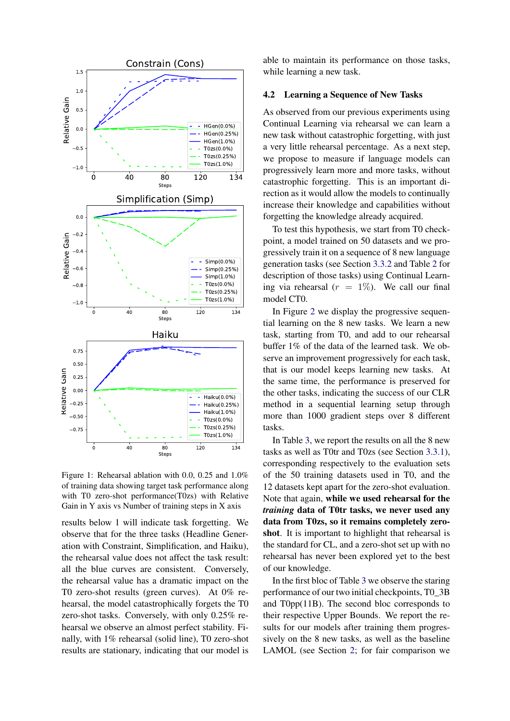

<span id="page-6-0"></span>Figure 1: Rehearsal ablation with 0.0, 0.25 and 1.0% of training data showing target task performance along with T0 zero-shot performance(T0zs) with Relative Gain in Y axis vs Number of training steps in X axis

results below 1 will indicate task forgetting. We observe that for the three tasks (Headline Generation with Constraint, Simplification, and Haiku), the rehearsal value does not affect the task result: all the blue curves are consistent. Conversely, the rehearsal value has a dramatic impact on the T0 zero-shot results (green curves). At 0% rehearsal, the model catastrophically forgets the T0 zero-shot tasks. Conversely, with only 0.25% rehearsal we observe an almost perfect stability. Finally, with 1% rehearsal (solid line), T0 zero-shot results are stationary, indicating that our model is able to maintain its performance on those tasks, while learning a new task.

### 4.2 Learning a Sequence of New Tasks

As observed from our previous experiments using Continual Learning via rehearsal we can learn a new task without catastrophic forgetting, with just a very little rehearsal percentage. As a next step, we propose to measure if language models can progressively learn more and more tasks, without catastrophic forgetting. This is an important direction as it would allow the models to continually increase their knowledge and capabilities without forgetting the knowledge already acquired.

To test this hypothesis, we start from T0 checkpoint, a model trained on 50 datasets and we progressively train it on a sequence of 8 new language generation tasks (see Section [3.3.2](#page-3-1) and Table [2](#page-3-0) for description of those tasks) using Continual Learning via rehearsal  $(r = 1\%)$ . We call our final model CT0.

In Figure [2](#page-7-0) we display the progressive sequential learning on the 8 new tasks. We learn a new task, starting from T0, and add to our rehearsal buffer 1% of the data of the learned task. We observe an improvement progressively for each task, that is our model keeps learning new tasks. At the same time, the performance is preserved for the other tasks, indicating the success of our CLR method in a sequential learning setup through more than 1000 gradient steps over 8 different tasks.

In Table [3,](#page-8-0) we report the results on all the 8 new tasks as well as T0tr and T0zs (see Section [3.3.1\)](#page-2-4), corresponding respectively to the evaluation sets of the 50 training datasets used in T0, and the 12 datasets kept apart for the zero-shot evaluation. Note that again, while we used rehearsal for the *training* data of T0tr tasks, we never used any data from T0zs, so it remains completely zeroshot. It is important to highlight that rehearsal is the standard for CL, and a zero-shot set up with no rehearsal has never been explored yet to the best of our knowledge.

In the first bloc of Table [3](#page-8-0) we observe the staring performance of our two initial checkpoints, T0\_3B and T0pp(11B). The second bloc corresponds to their respective Upper Bounds. We report the results for our models after training them progressively on the 8 new tasks, as well as the baseline LAMOL (see Section [2;](#page-1-1) for fair comparison we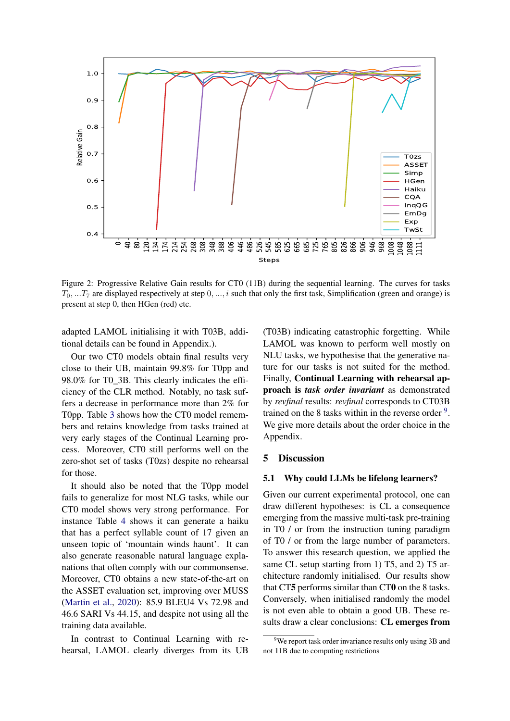

<span id="page-7-0"></span>Figure 2: Progressive Relative Gain results for CT0 (11B) during the sequential learning. The curves for tasks  $T_0, ... T_7$  are displayed respectively at step  $0, ..., i$  such that only the first task, Simplification (green and orange) is present at step 0, then HGen (red) etc.

adapted LAMOL initialising it with T03B, additional details can be found in Appendix.).

Our two CT0 models obtain final results very close to their UB, maintain 99.8% for T0pp and 98.0% for T0\_3B. This clearly indicates the efficiency of the CLR method. Notably, no task suffers a decrease in performance more than 2% for T0pp. Table [3](#page-8-0) shows how the CT0 model remembers and retains knowledge from tasks trained at very early stages of the Continual Learning process. Moreover, CT0 still performs well on the zero-shot set of tasks (T0zs) despite no rehearsal for those.

It should also be noted that the T0pp model fails to generalize for most NLG tasks, while our CT0 model shows very strong performance. For instance Table [4](#page-8-1) shows it can generate a haiku that has a perfect syllable count of 17 given an unseen topic of 'mountain winds haunt'. It can also generate reasonable natural language explanations that often comply with our commonsense. Moreover, CT0 obtains a new state-of-the-art on the ASSET evaluation set, improving over MUSS [\(Martin et al.,](#page-11-16) [2020\)](#page-11-16): 85.9 BLEU4 Vs 72.98 and 46.6 SARI Vs 44.15, and despite not using all the training data available.

In contrast to Continual Learning with rehearsal, LAMOL clearly diverges from its UB (T03B) indicating catastrophic forgetting. While LAMOL was known to perform well mostly on NLU tasks, we hypothesise that the generative nature for our tasks is not suited for the method. Finally, Continual Learning with rehearsal approach is *task order invariant* as demonstrated by *revfinal* results: *revfinal* corresponds to CT03B trained on the 8 tasks within in the reverse order  $9$ . We give more details about the order choice in the Appendix.

### 5 Discussion

### 5.1 Why could LLMs be lifelong learners?

Given our current experimental protocol, one can draw different hypotheses: is CL a consequence emerging from the massive multi-task pre-training in T0 / or from the instruction tuning paradigm of T0 / or from the large number of parameters. To answer this research question, we applied the same CL setup starting from 1) T5, and 2) T5 architecture randomly initialised. Our results show that CT5 performs similar than CT0 on the 8 tasks. Conversely, when initialised randomly the model is not even able to obtain a good UB. These results draw a clear conclusions: CL emerges from

<span id="page-7-1"></span><sup>&</sup>lt;sup>9</sup>We report task order invariance results only using 3B and not 11B due to computing restrictions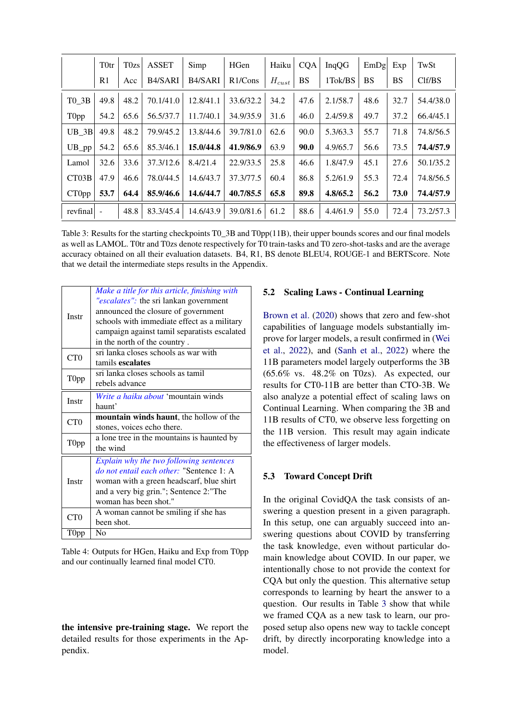|                       | <b>T</b> 0tr   | T0zs | <b>ASSET</b>         | Simp      | HGen       | Haiku             | <b>COA</b> | InqQG    | EmDg      | Exp  | TwSt      |
|-----------------------|----------------|------|----------------------|-----------|------------|-------------------|------------|----------|-----------|------|-----------|
|                       | R <sub>1</sub> | Acc  | B <sub>4</sub> /SARI | B4/SARI   | $R1/C$ ons | $H_{\text{cust}}$ | <b>BS</b>  | 1Tok/BS  | <b>BS</b> | BS   | Clf/BS    |
| T0 3B                 | 49.8           | 48.2 | 70.1/41.0            | 12.8/41.1 | 33.6/32.2  | 34.2              | 47.6       | 2.1/58.7 | 48.6      | 32.7 | 54.4/38.0 |
| T0pp                  | 54.2           | 65.6 | 56.5/37.7            | 11.7/40.1 | 34.9/35.9  | 31.6              | 46.0       | 2.4/59.8 | 49.7      | 37.2 | 66.4/45.1 |
| $UB_3B$               | 49.8           | 48.2 | 79.9/45.2            | 13.8/44.6 | 39.7/81.0  | 62.6              | 90.0       | 5.3/63.3 | 55.7      | 71.8 | 74.8/56.5 |
| $UB$ <sub></sub> $pp$ | 54.2           | 65.6 | 85.3/46.1            | 15.0/44.8 | 41.9/86.9  | 63.9              | 90.0       | 4.9/65.7 | 56.6      | 73.5 | 74.4/57.9 |
| Lamol                 | 32.6           | 33.6 | 37.3/12.6            | 8.4/21.4  | 22.9/33.5  | 25.8              | 46.6       | 1.8/47.9 | 45.1      | 27.6 | 50.1/35.2 |
| CT03B                 | 47.9           | 46.6 | 78.0/44.5            | 14.6/43.7 | 37.3/77.5  | 60.4              | 86.8       | 5.2/61.9 | 55.3      | 72.4 | 74.8/56.5 |
| CT0pp                 | 53.7           | 64.4 | 85.9/46.6            | 14.6/44.7 | 40.7/85.5  | 65.8              | 89.8       | 4.8/65.2 | 56.2      | 73.0 | 74.4/57.9 |
| revfinal              |                | 48.8 | 83.3/45.4            | 14.6/43.9 | 39.0/81.6  | 61.2              | 88.6       | 4.4/61.9 | 55.0      | 72.4 | 73.2/57.3 |

<span id="page-8-0"></span>Table 3: Results for the starting checkpoints T0\_3B and T0pp(11B), their upper bounds scores and our final models as well as LAMOL. T0tr and T0zs denote respectively for T0 train-tasks and T0 zero-shot-tasks and are the average accuracy obtained on all their evaluation datasets. B4, R1, BS denote BLEU4, ROUGE-1 and BERTScore. Note that we detail the intermediate steps results in the Appendix.

| Instr            | Make a title for this article, finishing with<br>"escalates": the sri lankan government<br>announced the closure of government<br>schools with immediate effect as a military<br>campaign against tamil separatists escalated<br>in the north of the country. |
|------------------|---------------------------------------------------------------------------------------------------------------------------------------------------------------------------------------------------------------------------------------------------------------|
| CT <sub>0</sub>  | sri lanka closes schools as war with<br>tamils escalates                                                                                                                                                                                                      |
| T0pp             | sri lanka closes schools as tamil<br>rebels advance                                                                                                                                                                                                           |
| Instr            | Write a haiku about 'mountain winds<br>haunt'                                                                                                                                                                                                                 |
| CT <sub>0</sub>  | <b>mountain winds haunt</b> , the hollow of the<br>stones, voices echo there.                                                                                                                                                                                 |
| T <sub>0pp</sub> | a lone tree in the mountains is haunted by<br>the wind                                                                                                                                                                                                        |
| Instr            | Explain why the two following sentences<br>do not entail each other: "Sentence 1: A<br>woman with a green headscarf, blue shirt<br>and a very big grin."; Sentence 2:"The<br>woman has been shot."                                                            |
| CT <sub>0</sub>  | A woman cannot be smiling if she has<br>been shot.                                                                                                                                                                                                            |
| T <sub>0pp</sub> | $\rm No$                                                                                                                                                                                                                                                      |

<span id="page-8-1"></span>Table 4: Outputs for HGen, Haiku and Exp from T0pp and our continually learned final model CT0.

the intensive pre-training stage. We report the detailed results for those experiments in the Appendix.

### 5.2 Scaling Laws - Continual Learning

[Brown et al.](#page-10-0) [\(2020\)](#page-10-0) shows that zero and few-shot capabilities of language models substantially improve for larger models, a result confirmed in [\(Wei](#page-13-1) [et al.,](#page-13-1) [2022\)](#page-13-1), and [\(Sanh et al.,](#page-12-1) [2022\)](#page-12-1) where the 11B parameters model largely outperforms the 3B  $(65.6\%$  vs.  $48.2\%$  on T0zs). As expected, our results for CT0-11B are better than CTO-3B. We also analyze a potential effect of scaling laws on Continual Learning. When comparing the 3B and 11B results of CT0, we observe less forgetting on the 11B version. This result may again indicate the effectiveness of larger models.

# 5.3 Toward Concept Drift

In the original CovidQA the task consists of answering a question present in a given paragraph. In this setup, one can arguably succeed into answering questions about COVID by transferring the task knowledge, even without particular domain knowledge about COVID. In our paper, we intentionally chose to not provide the context for CQA but only the question. This alternative setup corresponds to learning by heart the answer to a question. Our results in Table [3](#page-8-0) show that while we framed CQA as a new task to learn, our proposed setup also opens new way to tackle concept drift, by directly incorporating knowledge into a model.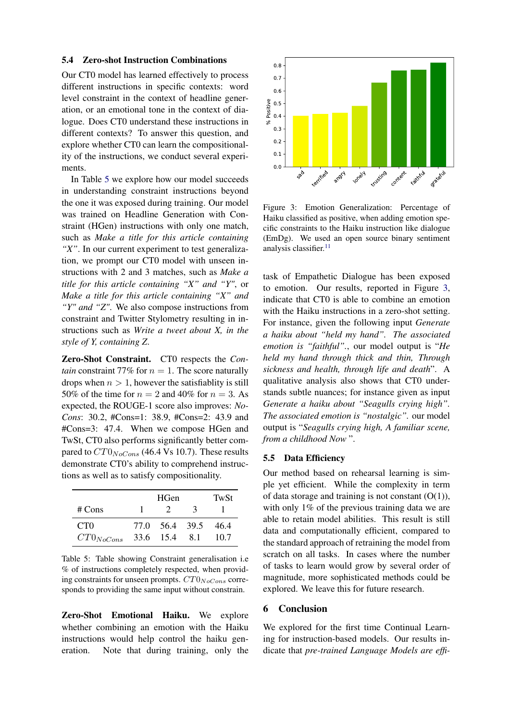#### 5.4 Zero-shot Instruction Combinations

Our CT0 model has learned effectively to process different instructions in specific contexts: word level constraint in the context of headline generation, or an emotional tone in the context of dialogue. Does CT0 understand these instructions in different contexts? To answer this question, and explore whether CT0 can learn the compositionality of the instructions, we conduct several experiments.

In Table [5](#page-9-0) we explore how our model succeeds in understanding constraint instructions beyond the one it was exposed during training. Our model was trained on Headline Generation with Constraint (HGen) instructions with only one match, such as *Make a title for this article containing "X"*. In our current experiment to test generalization, we prompt our CT0 model with unseen instructions with 2 and 3 matches, such as *Make a title for this article containing "X" and "Y"*, or *Make a title for this article containing "X" and "Y" and "Z"*. We also compose instructions from constraint and Twitter Stylometry resulting in instructions such as *Write a tweet about X, in the style of Y, containing Z*.

Zero-Shot Constraint. CT0 respects the *Contain* constraint 77% for  $n = 1$ . The score naturally drops when  $n > 1$ , however the satisfiablity is still 50% of the time for  $n = 2$  and 40% for  $n = 3$ . As expected, the ROUGE-1 score also improves: *No-Cons*: 30.2, #Cons=1: 38.9, #Cons=2: 43.9 and #Cons=3: 47.4. When we compose HGen and TwSt, CT0 also performs significantly better compared to  $CT0<sub>NoCons</sub>$  (46.4 Vs 10.7). These results demonstrate CT0's ability to comprehend instructions as well as to satisfy compositionality.

|                 |      | TwSt          |   |      |
|-----------------|------|---------------|---|------|
| # Cons          |      |               | 3 |      |
| CT <sub>0</sub> | 77.O | 56.4 39.5     |   | 46.4 |
| $CT0_{NoCons}$  |      | 33.6 15.4 8.1 |   | 10.7 |

<span id="page-9-0"></span>Table 5: Table showing Constraint generalisation i.e % of instructions completely respected, when providing constraints for unseen prompts.  $CT0<sub>NoCons</sub>$  corresponds to providing the same input without constrain.

Zero-Shot Emotional Haiku. We explore whether combining an emotion with the Haiku instructions would help control the haiku generation. Note that during training, only the



<span id="page-9-1"></span>Figure 3: Emotion Generalization: Percentage of Haiku classified as positive, when adding emotion specific constraints to the Haiku instruction like dialogue (EmDg). We used an open source binary sentiment analysis classifier.<sup>[11](#page-0-1)</sup>

task of Empathetic Dialogue has been exposed to emotion. Our results, reported in Figure [3,](#page-9-1) indicate that CT0 is able to combine an emotion with the Haiku instructions in a zero-shot setting. For instance, given the following input *Generate a haiku about "held my hand". The associated emotion is "faithful".*, our model output is "*He held my hand through thick and thin, Through sickness and health, through life and death*". A qualitative analysis also shows that CT0 understands subtle nuances; for instance given as input *Generate a haiku about "Seagulls crying high". The associated emotion is "nostalgic".* our model output is "*Seagulls crying high, A familiar scene, from a childhood Now* ".

### 5.5 Data Efficiency

Our method based on rehearsal learning is simple yet efficient. While the complexity in term of data storage and training is not constant  $(O(1)),$ with only 1% of the previous training data we are able to retain model abilities. This result is still data and computationally efficient, compared to the standard approach of retraining the model from scratch on all tasks. In cases where the number of tasks to learn would grow by several order of magnitude, more sophisticated methods could be explored. We leave this for future research.

#### 6 Conclusion

We explored for the first time Continual Learning for instruction-based models. Our results indicate that *pre-trained Language Models are effi-*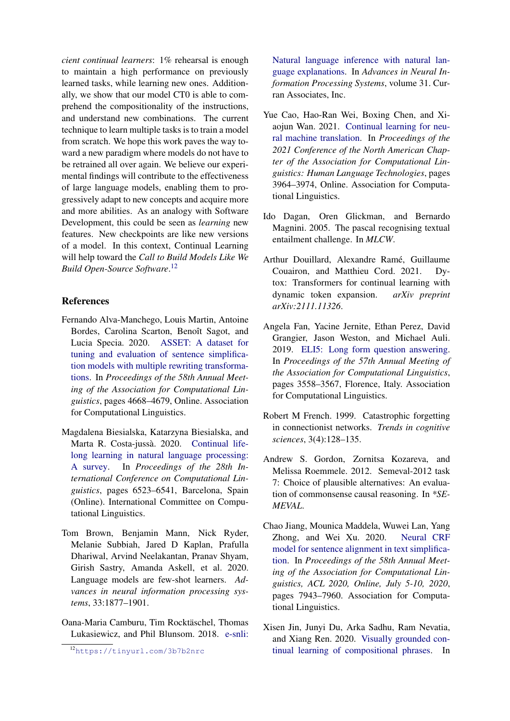*cient continual learners*: 1% rehearsal is enough to maintain a high performance on previously learned tasks, while learning new ones. Additionally, we show that our model CT0 is able to comprehend the compositionality of the instructions, and understand new combinations. The current technique to learn multiple tasks is to train a model from scratch. We hope this work paves the way toward a new paradigm where models do not have to be retrained all over again. We believe our experimental findings will contribute to the effectiveness of large language models, enabling them to progressively adapt to new concepts and acquire more and more abilities. As an analogy with Software Development, this could be seen as *learning* new features. New checkpoints are like new versions of a model. In this context, Continual Learning will help toward the *Call to Build Models Like We Build Open-Source Software*. [12](#page-10-12)

# References

- <span id="page-10-9"></span>Fernando Alva-Manchego, Louis Martin, Antoine Bordes, Carolina Scarton, Benoît Sagot, and Lucia Specia. 2020. [ASSET: A dataset for](https://www.aclweb.org/anthology/2020.acl-main.424) [tuning and evaluation of sentence simplifica](https://www.aclweb.org/anthology/2020.acl-main.424)[tion models with multiple rewriting transforma](https://www.aclweb.org/anthology/2020.acl-main.424)[tions.](https://www.aclweb.org/anthology/2020.acl-main.424) In *Proceedings of the 58th Annual Meeting of the Association for Computational Linguistics*, pages 4668–4679, Online. Association for Computational Linguistics.
- <span id="page-10-2"></span>Magdalena Biesialska, Katarzyna Biesialska, and Marta R. Costa-jussà. 2020. [Continual life](https://doi.org/10.18653/v1/2020.coling-main.574)[long learning in natural language processing:](https://doi.org/10.18653/v1/2020.coling-main.574) [A survey.](https://doi.org/10.18653/v1/2020.coling-main.574) In *Proceedings of the 28th International Conference on Computational Linguistics*, pages 6523–6541, Barcelona, Spain (Online). International Committee on Computational Linguistics.
- <span id="page-10-0"></span>Tom Brown, Benjamin Mann, Nick Ryder, Melanie Subbiah, Jared D Kaplan, Prafulla Dhariwal, Arvind Neelakantan, Pranav Shyam, Girish Sastry, Amanda Askell, et al. 2020. Language models are few-shot learners. *Advances in neural information processing systems*, 33:1877–1901.
- <span id="page-10-11"></span>Oana-Maria Camburu, Tim Rocktäschel, Thomas Lukasiewicz, and Phil Blunsom. 2018. [e-snli:](https://proceedings.neurips.cc/paper/2018/file/4c7a167bb329bd92580a99ce422d6fa6-Paper.pdf)

[Natural language inference with natural lan](https://proceedings.neurips.cc/paper/2018/file/4c7a167bb329bd92580a99ce422d6fa6-Paper.pdf)[guage explanations.](https://proceedings.neurips.cc/paper/2018/file/4c7a167bb329bd92580a99ce422d6fa6-Paper.pdf) In *Advances in Neural Information Processing Systems*, volume 31. Curran Associates, Inc.

- <span id="page-10-4"></span>Yue Cao, Hao-Ran Wei, Boxing Chen, and Xiaojun Wan. 2021. [Continual learning for neu](https://doi.org/10.18653/v1/2021.naacl-main.310)[ral machine translation.](https://doi.org/10.18653/v1/2021.naacl-main.310) In *Proceedings of the 2021 Conference of the North American Chapter of the Association for Computational Linguistics: Human Language Technologies*, pages 3964–3974, Online. Association for Computational Linguistics.
- <span id="page-10-6"></span>Ido Dagan, Oren Glickman, and Bernardo Magnini. 2005. The pascal recognising textual entailment challenge. In *MLCW*.
- <span id="page-10-3"></span>Arthur Douillard, Alexandre Ramé, Guillaume Couairon, and Matthieu Cord. 2021. Dytox: Transformers for continual learning with dynamic token expansion. *arXiv preprint arXiv:2111.11326*.
- <span id="page-10-10"></span>Angela Fan, Yacine Jernite, Ethan Perez, David Grangier, Jason Weston, and Michael Auli. 2019. [ELI5: Long form question answering.](https://doi.org/10.18653/v1/P19-1346) In *Proceedings of the 57th Annual Meeting of the Association for Computational Linguistics*, pages 3558–3567, Florence, Italy. Association for Computational Linguistics.
- <span id="page-10-1"></span>Robert M French. 1999. Catastrophic forgetting in connectionist networks. *Trends in cognitive sciences*, 3(4):128–135.
- <span id="page-10-7"></span>Andrew S. Gordon, Zornitsa Kozareva, and Melissa Roemmele. 2012. Semeval-2012 task 7: Choice of plausible alternatives: An evaluation of commonsense causal reasoning. In *\*SE-MEVAL*.
- <span id="page-10-8"></span>Chao Jiang, Mounica Maddela, Wuwei Lan, Yang Zhong, and Wei Xu. 2020. [Neural CRF](https://www.aclweb.org/anthology/2020.acl-main.709/) [model for sentence alignment in text simplifica](https://www.aclweb.org/anthology/2020.acl-main.709/)[tion.](https://www.aclweb.org/anthology/2020.acl-main.709/) In *Proceedings of the 58th Annual Meeting of the Association for Computational Linguistics, ACL 2020, Online, July 5-10, 2020*, pages 7943–7960. Association for Computational Linguistics.
- <span id="page-10-5"></span>Xisen Jin, Junyi Du, Arka Sadhu, Ram Nevatia, and Xiang Ren. 2020. [Visually grounded con](https://doi.org/10.18653/v1/2020.emnlp-main.158)[tinual learning of compositional phrases.](https://doi.org/10.18653/v1/2020.emnlp-main.158) In

<span id="page-10-12"></span><sup>12</sup>[https://tinyurl.com/3b7b2nrc](https://proceedings.neurips.cc/paper/2018/file/4c7a167bb329bd92580a99ce422d6fa6-Paper.pdf)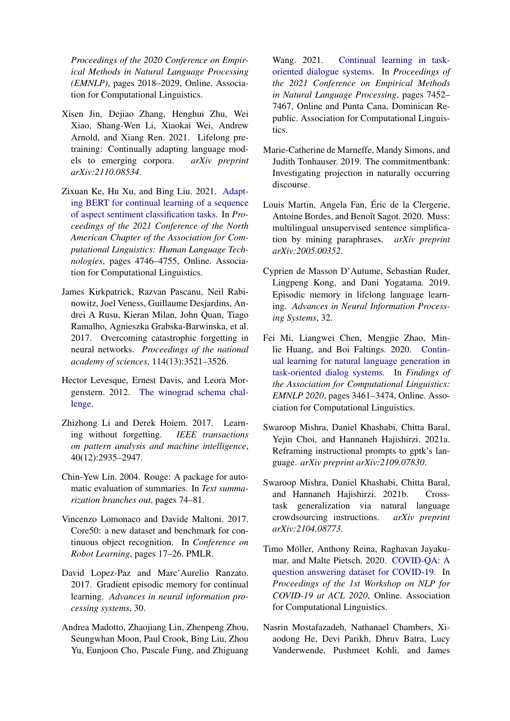*Proceedings of the 2020 Conference on Empirical Methods in Natural Language Processing (EMNLP)*, pages 2018–2029, Online. Association for Computational Linguistics.

- <span id="page-11-6"></span>Xisen Jin, Dejiao Zhang, Henghui Zhu, Wei Xiao, Shang-Wen Li, Xiaokai Wei, Andrew Arnold, and Xiang Ren. 2021. Lifelong pretraining: Continually adapting language models to emerging corpora. *arXiv preprint arXiv:2110.08534*.
- <span id="page-11-9"></span>Zixuan Ke, Hu Xu, and Bing Liu. 2021. [Adapt](https://doi.org/10.18653/v1/2021.naacl-main.378)[ing BERT for continual learning of a sequence](https://doi.org/10.18653/v1/2021.naacl-main.378) [of aspect sentiment classification tasks.](https://doi.org/10.18653/v1/2021.naacl-main.378) In *Proceedings of the 2021 Conference of the North American Chapter of the Association for Computational Linguistics: Human Language Technologies*, pages 4746–4755, Online. Association for Computational Linguistics.
- <span id="page-11-4"></span>James Kirkpatrick, Razvan Pascanu, Neil Rabinowitz, Joel Veness, Guillaume Desjardins, Andrei A Rusu, Kieran Milan, John Quan, Tiago Ramalho, Agnieszka Grabska-Barwinska, et al. 2017. Overcoming catastrophic forgetting in neural networks. *Proceedings of the national academy of sciences*, 114(13):3521–3526.
- <span id="page-11-12"></span>Hector Levesque, Ernest Davis, and Leora Morgenstern. 2012. [The winograd schema chal](https://www.aaai.org/ocs/index.php/KR/KR12/paper/view/4492)[lenge.](https://www.aaai.org/ocs/index.php/KR/KR12/paper/view/4492)
- <span id="page-11-3"></span>Zhizhong Li and Derek Hoiem. 2017. Learning without forgetting. *IEEE transactions on pattern analysis and machine intelligence*, 40(12):2935–2947.
- <span id="page-11-15"></span>Chin-Yew Lin. 2004. Rouge: A package for automatic evaluation of summaries. In *Text summarization branches out*, pages 74–81.
- <span id="page-11-10"></span>Vincenzo Lomonaco and Davide Maltoni. 2017. Core50: a new dataset and benchmark for continuous object recognition. In *Conference on Robot Learning*, pages 17–26. PMLR.
- <span id="page-11-5"></span>David Lopez-Paz and Marc'Aurelio Ranzato. 2017. Gradient episodic memory for continual learning. *Advances in neural information processing systems*, 30.
- <span id="page-11-8"></span>Andrea Madotto, Zhaojiang Lin, Zhenpeng Zhou, Seungwhan Moon, Paul Crook, Bing Liu, Zhou Yu, Eunjoon Cho, Pascale Fung, and Zhiguang

Wang. 2021. [Continual learning in task](https://doi.org/10.18653/v1/2021.emnlp-main.590)[oriented dialogue systems.](https://doi.org/10.18653/v1/2021.emnlp-main.590) In *Proceedings of the 2021 Conference on Empirical Methods in Natural Language Processing*, pages 7452– 7467, Online and Punta Cana, Dominican Republic. Association for Computational Linguistics.

- <span id="page-11-11"></span>Marie-Catherine de Marneffe, Mandy Simons, and Judith Tonhauser. 2019. The commitmentbank: Investigating projection in naturally occurring discourse.
- <span id="page-11-16"></span>Louis Martin, Angela Fan, Éric de la Clergerie, Antoine Bordes, and Benoît Sagot. 2020. Muss: multilingual unsupervised sentence simplification by mining paraphrases. *arXiv preprint arXiv:2005.00352*.
- <span id="page-11-2"></span>Cyprien de Masson D'Autume, Sebastian Ruder, Lingpeng Kong, and Dani Yogatama. 2019. Episodic memory in lifelong language learning. *Advances in Neural Information Processing Systems*, 32.
- <span id="page-11-7"></span>Fei Mi, Liangwei Chen, Mengjie Zhao, Minlie Huang, and Boi Faltings. 2020. [Contin](https://doi.org/10.18653/v1/2020.findings-emnlp.310)[ual learning for natural language generation in](https://doi.org/10.18653/v1/2020.findings-emnlp.310) [task-oriented dialog systems.](https://doi.org/10.18653/v1/2020.findings-emnlp.310) In *Findings of the Association for Computational Linguistics: EMNLP 2020*, pages 3461–3474, Online. Association for Computational Linguistics.
- <span id="page-11-1"></span>Swaroop Mishra, Daniel Khashabi, Chitta Baral, Yejin Choi, and Hannaneh Hajishirzi. 2021a. Reframing instructional prompts to gptk's language. *arXiv preprint arXiv:2109.07830*.
- <span id="page-11-0"></span>Swaroop Mishra, Daniel Khashabi, Chitta Baral, and Hannaneh Hajishirzi. 2021b. Crosstask generalization via natural language crowdsourcing instructions. *arXiv preprint arXiv:2104.08773*.
- <span id="page-11-14"></span>Timo Möller, Anthony Reina, Raghavan Jayakumar, and Malte Pietsch. 2020. [COVID-QA: A](https://aclanthology.org/2020.nlpcovid19-acl.18) [question answering dataset for COVID-19.](https://aclanthology.org/2020.nlpcovid19-acl.18) In *Proceedings of the 1st Workshop on NLP for COVID-19 at ACL 2020*, Online. Association for Computational Linguistics.
- <span id="page-11-13"></span>Nasrin Mostafazadeh, Nathanael Chambers, Xiaodong He, Devi Parikh, Dhruv Batra, Lucy Vanderwende, Pushmeet Kohli, and James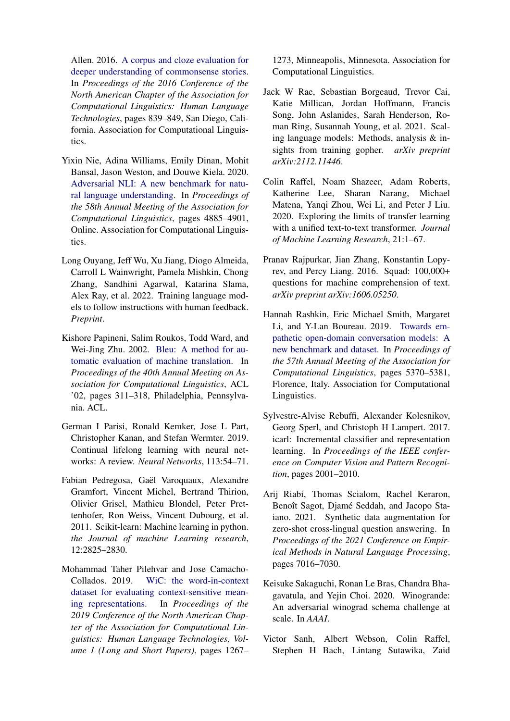Allen. 2016. [A corpus and cloze evaluation for](https://doi.org/10.18653/v1/N16-1098) [deeper understanding of commonsense stories.](https://doi.org/10.18653/v1/N16-1098) In *Proceedings of the 2016 Conference of the North American Chapter of the Association for Computational Linguistics: Human Language Technologies*, pages 839–849, San Diego, California. Association for Computational Linguistics.

- <span id="page-12-6"></span>Yixin Nie, Adina Williams, Emily Dinan, Mohit Bansal, Jason Weston, and Douwe Kiela. 2020. [Adversarial NLI: A new benchmark for natu](https://doi.org/10.18653/v1/2020.acl-main.441)[ral language understanding.](https://doi.org/10.18653/v1/2020.acl-main.441) In *Proceedings of the 58th Annual Meeting of the Association for Computational Linguistics*, pages 4885–4901, Online. Association for Computational Linguistics.
- <span id="page-12-2"></span>Long Ouyang, Jeff Wu, Xu Jiang, Diogo Almeida, Carroll L Wainwright, Pamela Mishkin, Chong Zhang, Sandhini Agarwal, Katarina Slama, Alex Ray, et al. 2022. Training language models to follow instructions with human feedback. *Preprint*.
- <span id="page-12-12"></span>Kishore Papineni, Salim Roukos, Todd Ward, and Wei-Jing Zhu. 2002. [Bleu: A method for au](https://doi.org/10.3115/1073083.1073135)[tomatic evaluation of machine translation.](https://doi.org/10.3115/1073083.1073135) In *Proceedings of the 40th Annual Meeting on Association for Computational Linguistics*, ACL '02, pages 311–318, Philadelphia, Pennsylvania. ACL.
- <span id="page-12-3"></span>German I Parisi, Ronald Kemker, Jose L Part, Christopher Kanan, and Stefan Wermter. 2019. Continual lifelong learning with neural networks: A review. *Neural Networks*, 113:54–71.
- <span id="page-12-13"></span>Fabian Pedregosa, Gaël Varoquaux, Alexandre Gramfort, Vincent Michel, Bertrand Thirion, Olivier Grisel, Mathieu Blondel, Peter Prettenhofer, Ron Weiss, Vincent Dubourg, et al. 2011. Scikit-learn: Machine learning in python. *the Journal of machine Learning research*, 12:2825–2830.
- <span id="page-12-8"></span>Mohammad Taher Pilehvar and Jose Camacho-Collados. 2019. [WiC: the word-in-context](https://doi.org/10.18653/v1/N19-1128) [dataset for evaluating context-sensitive mean](https://doi.org/10.18653/v1/N19-1128)[ing representations.](https://doi.org/10.18653/v1/N19-1128) In *Proceedings of the 2019 Conference of the North American Chapter of the Association for Computational Linguistics: Human Language Technologies, Volume 1 (Long and Short Papers)*, pages 1267–

1273, Minneapolis, Minnesota. Association for Computational Linguistics.

- <span id="page-12-0"></span>Jack W Rae, Sebastian Borgeaud, Trevor Cai, Katie Millican, Jordan Hoffmann, Francis Song, John Aslanides, Sarah Henderson, Roman Ring, Susannah Young, et al. 2021. Scaling language models: Methods, analysis & insights from training gopher. *arXiv preprint arXiv:2112.11446*.
- <span id="page-12-5"></span>Colin Raffel, Noam Shazeer, Adam Roberts, Katherine Lee, Sharan Narang, Michael Matena, Yanqi Zhou, Wei Li, and Peter J Liu. 2020. Exploring the limits of transfer learning with a unified text-to-text transformer. *Journal of Machine Learning Research*, 21:1–67.
- <span id="page-12-9"></span>Pranav Rajpurkar, Jian Zhang, Konstantin Lopyrev, and Percy Liang. 2016. Squad: 100,000+ questions for machine comprehension of text. *arXiv preprint arXiv:1606.05250*.
- <span id="page-12-10"></span>Hannah Rashkin, Eric Michael Smith, Margaret Li, and Y-Lan Boureau. 2019. [Towards em](https://doi.org/10.18653/v1/P19-1534)[pathetic open-domain conversation models: A](https://doi.org/10.18653/v1/P19-1534) [new benchmark and dataset.](https://doi.org/10.18653/v1/P19-1534) In *Proceedings of the 57th Annual Meeting of the Association for Computational Linguistics*, pages 5370–5381, Florence, Italy. Association for Computational Linguistics.
- <span id="page-12-4"></span>Sylvestre-Alvise Rebuffi, Alexander Kolesnikov, Georg Sperl, and Christoph H Lampert. 2017. icarl: Incremental classifier and representation learning. In *Proceedings of the IEEE conference on Computer Vision and Pattern Recognition*, pages 2001–2010.
- <span id="page-12-11"></span>Arij Riabi, Thomas Scialom, Rachel Keraron, Benoît Sagot, Djamé Seddah, and Jacopo Staiano. 2021. Synthetic data augmentation for zero-shot cross-lingual question answering. In *Proceedings of the 2021 Conference on Empirical Methods in Natural Language Processing*, pages 7016–7030.
- <span id="page-12-7"></span>Keisuke Sakaguchi, Ronan Le Bras, Chandra Bhagavatula, and Yejin Choi. 2020. Winogrande: An adversarial winograd schema challenge at scale. In *AAAI*.
- <span id="page-12-1"></span>Victor Sanh, Albert Webson, Colin Raffel, Stephen H Bach, Lintang Sutawika, Zaid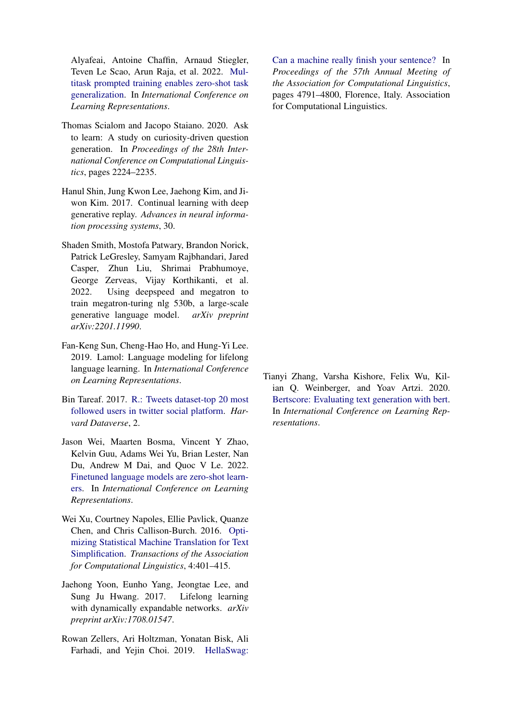Alyafeai, Antoine Chaffin, Arnaud Stiegler, Teven Le Scao, Arun Raja, et al. 2022. [Mul](https://openreview.net/forum?id=OHYupm7QpfG)[titask prompted training enables zero-shot task](https://openreview.net/forum?id=OHYupm7QpfG) [generalization.](https://openreview.net/forum?id=OHYupm7QpfG) In *International Conference on Learning Representations*.

- <span id="page-13-6"></span>Thomas Scialom and Jacopo Staiano. 2020. Ask to learn: A study on curiosity-driven question generation. In *Proceedings of the 28th International Conference on Computational Linguistics*, pages 2224–2235.
- <span id="page-13-2"></span>Hanul Shin, Jung Kwon Lee, Jaehong Kim, and Jiwon Kim. 2017. Continual learning with deep generative replay. *Advances in neural information processing systems*, 30.
- <span id="page-13-0"></span>Shaden Smith, Mostofa Patwary, Brandon Norick, Patrick LeGresley, Samyam Rajbhandari, Jared Casper, Zhun Liu, Shrimai Prabhumoye, George Zerveas, Vijay Korthikanti, et al. 2022. Using deepspeed and megatron to train megatron-turing nlg 530b, a large-scale generative language model. *arXiv preprint arXiv:2201.11990*.
- <span id="page-13-4"></span>Fan-Keng Sun, Cheng-Hao Ho, and Hung-Yi Lee. 2019. Lamol: Language modeling for lifelong language learning. In *International Conference on Learning Representations*.
- <span id="page-13-7"></span>Bin Tareaf. 2017. [R.: Tweets dataset-top 20 most](https://dataverse.harvard.edu/api/access/datafile/:persistentId?persistentId=doi:10.7910/DVN/JBXKFD/F4FULO) [followed users in twitter social platform.](https://dataverse.harvard.edu/api/access/datafile/:persistentId?persistentId=doi:10.7910/DVN/JBXKFD/F4FULO) *Harvard Dataverse*, 2.
- <span id="page-13-1"></span>Jason Wei, Maarten Bosma, Vincent Y Zhao, Kelvin Guu, Adams Wei Yu, Brian Lester, Nan Du, Andrew M Dai, and Quoc V Le. 2022. [Finetuned language models are zero-shot learn](https://openreview.net/forum?id=ewdeUNwmJLk)[ers.](https://openreview.net/forum?id=ewdeUNwmJLk) In *International Conference on Learning Representations*.
- <span id="page-13-8"></span>Wei Xu, Courtney Napoles, Ellie Pavlick, Quanze Chen, and Chris Callison-Burch. 2016. [Opti](https://doi.org/10.1162/tacl_a_00107)[mizing Statistical Machine Translation for Text](https://doi.org/10.1162/tacl_a_00107) [Simplification.](https://doi.org/10.1162/tacl_a_00107) *Transactions of the Association for Computational Linguistics*, 4:401–415.
- <span id="page-13-3"></span>Jaehong Yoon, Eunho Yang, Jeongtae Lee, and Sung Ju Hwang. 2017. Lifelong learning with dynamically expandable networks. *arXiv preprint arXiv:1708.01547*.
- <span id="page-13-5"></span>Rowan Zellers, Ari Holtzman, Yonatan Bisk, Ali Farhadi, and Yejin Choi. 2019. [HellaSwag:](https://doi.org/10.18653/v1/P19-1472)

[Can a machine really finish your sentence?](https://doi.org/10.18653/v1/P19-1472) In *Proceedings of the 57th Annual Meeting of the Association for Computational Linguistics*, pages 4791–4800, Florence, Italy. Association for Computational Linguistics.

<span id="page-13-9"></span>Tianyi Zhang, Varsha Kishore, Felix Wu, Kilian Q. Weinberger, and Yoav Artzi. 2020. [Bertscore: Evaluating text generation with bert.](https://openreview.net/forum?id=SkeHuCVFDr) In *International Conference on Learning Representations*.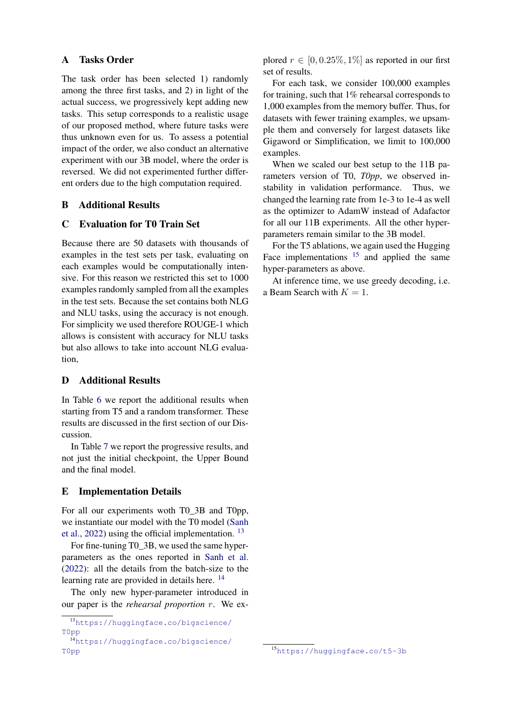# A Tasks Order

The task order has been selected 1) randomly among the three first tasks, and 2) in light of the actual success, we progressively kept adding new tasks. This setup corresponds to a realistic usage of our proposed method, where future tasks were thus unknown even for us. To assess a potential impact of the order, we also conduct an alternative experiment with our 3B model, where the order is reversed. We did not experimented further different orders due to the high computation required.

# B Additional Results

# C Evaluation for T0 Train Set

Because there are 50 datasets with thousands of examples in the test sets per task, evaluating on each examples would be computationally intensive. For this reason we restricted this set to 1000 examples randomly sampled from all the examples in the test sets. Because the set contains both NLG and NLU tasks, using the accuracy is not enough. For simplicity we used therefore ROUGE-1 which allows is consistent with accuracy for NLU tasks but also allows to take into account NLG evaluation,

## D Additional Results

In Table [6](#page-15-0) we report the additional results when starting from T5 and a random transformer. These results are discussed in the first section of our Discussion.

In Table [7](#page-15-1) we report the progressive results, and not just the initial checkpoint, the Upper Bound and the final model.

# E Implementation Details

For all our experiments woth T0\_3B and T0pp, we instantiate our model with the T0 model [\(Sanh](#page-12-1) [et al.,](#page-12-1) [2022\)](#page-12-1) using the official implementation.  $^{13}$  $^{13}$  $^{13}$ 

For fine-tuning T0\_3B, we used the same hyperparameters as the ones reported in [Sanh et al.](#page-12-1) [\(2022\)](#page-12-1): all the details from the batch-size to the learning rate are provided in details here. <sup>[14](#page-14-1)</sup>

The only new hyper-parameter introduced in our paper is the *rehearsal proportion* r. We explored  $r \in [0, 0.25\%, 1\%]$  as reported in our first set of results.

For each task, we consider 100,000 examples for training, such that 1% rehearsal corresponds to 1,000 examples from the memory buffer. Thus, for datasets with fewer training examples, we upsample them and conversely for largest datasets like Gigaword or Simplification, we limit to 100,000 examples.

When we scaled our best setup to the 11B parameters version of T0, *T0pp*, we observed instability in validation performance. Thus, we changed the learning rate from 1e-3 to 1e-4 as well as the optimizer to AdamW instead of Adafactor for all our 11B experiments. All the other hyperparameters remain similar to the 3B model.

For the T5 ablations, we again used the Hugging Face implementations  $15$  and applied the same hyper-parameters as above.

At inference time, we use greedy decoding, i.e. a Beam Search with  $K = 1$ .

<span id="page-14-0"></span><sup>13</sup>[https://huggingface.co/bigscience/](https://huggingface.co/bigscience/T0pp) [T0pp](https://huggingface.co/bigscience/T0pp)

<span id="page-14-1"></span><sup>14</sup>[https://huggingface.co/bigscience/](https://huggingface.co/bigscience/T0pp) [T0pp](https://huggingface.co/bigscience/T0pp)

<span id="page-14-2"></span><sup>15</sup><https://huggingface.co/t5-3b>